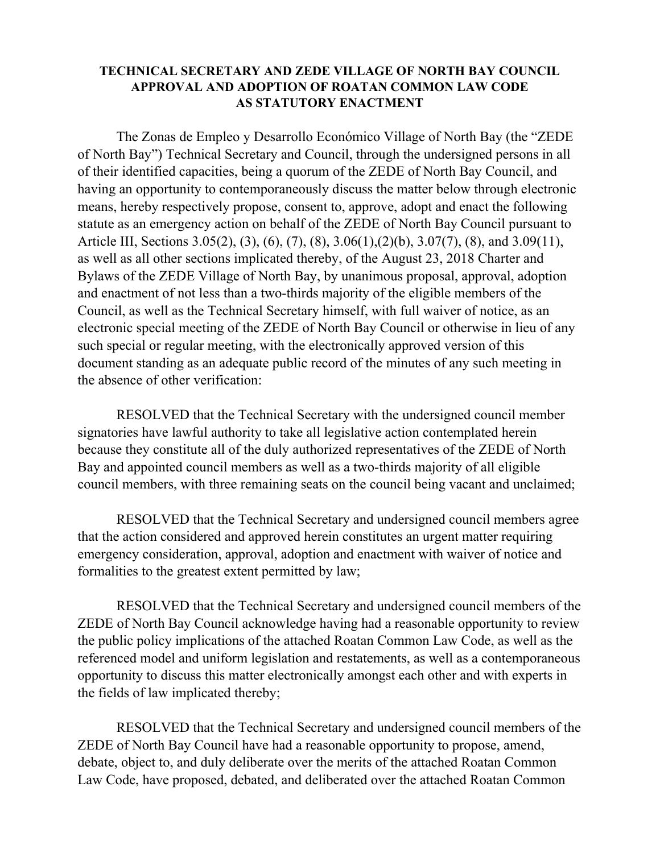## **TECHNICAL SECRETARY AND ZEDE VILLAGE OF NORTH BAY COUNCIL APPROVAL AND ADOPTION OF ROATAN COMMON LAW CODE AS STATUTORY ENACTMENT**

The Zonas de Empleo y Desarrollo Económico Village of North Bay (the "ZEDE of North Bay") Technical Secretary and Council, through the undersigned persons in all of their identified capacities, being a quorum of the ZEDE of North Bay Council, and having an opportunity to contemporaneously discuss the matter below through electronic means, hereby respectively propose, consent to, approve, adopt and enact the following statute as an emergency action on behalf of the ZEDE of North Bay Council pursuant to Article III, Sections 3.05(2), (3), (6), (7), (8), 3.06(1),(2)(b), 3.07(7), (8), and 3.09(11), as well as all other sections implicated thereby, of the August 23, 2018 Charter and Bylaws of the ZEDE Village of North Bay, by unanimous proposal, approval, adoption and enactment of not less than a two-thirds majority of the eligible members of the Council, as well as the Technical Secretary himself, with full waiver of notice, as an electronic special meeting of the ZEDE of North Bay Council or otherwise in lieu of any such special or regular meeting, with the electronically approved version of this document standing as an adequate public record of the minutes of any such meeting in the absence of other verification:

RESOLVED that the Technical Secretary with the undersigned council member signatories have lawful authority to take all legislative action contemplated herein because they constitute all of the duly authorized representatives of the ZEDE of North Bay and appointed council members as well as a two-thirds majority of all eligible council members, with three remaining seats on the council being vacant and unclaimed;

RESOLVED that the Technical Secretary and undersigned council members agree that the action considered and approved herein constitutes an urgent matter requiring emergency consideration, approval, adoption and enactment with waiver of notice and formalities to the greatest extent permitted by law;

RESOLVED that the Technical Secretary and undersigned council members of the ZEDE of North Bay Council acknowledge having had a reasonable opportunity to review the public policy implications of the attached Roatan Common Law Code, as well as the referenced model and uniform legislation and restatements, as well as a contemporaneous opportunity to discuss this matter electronically amongst each other and with experts in the fields of law implicated thereby;

RESOLVED that the Technical Secretary and undersigned council members of the ZEDE of North Bay Council have had a reasonable opportunity to propose, amend, debate, object to, and duly deliberate over the merits of the attached Roatan Common Law Code, have proposed, debated, and deliberated over the attached Roatan Common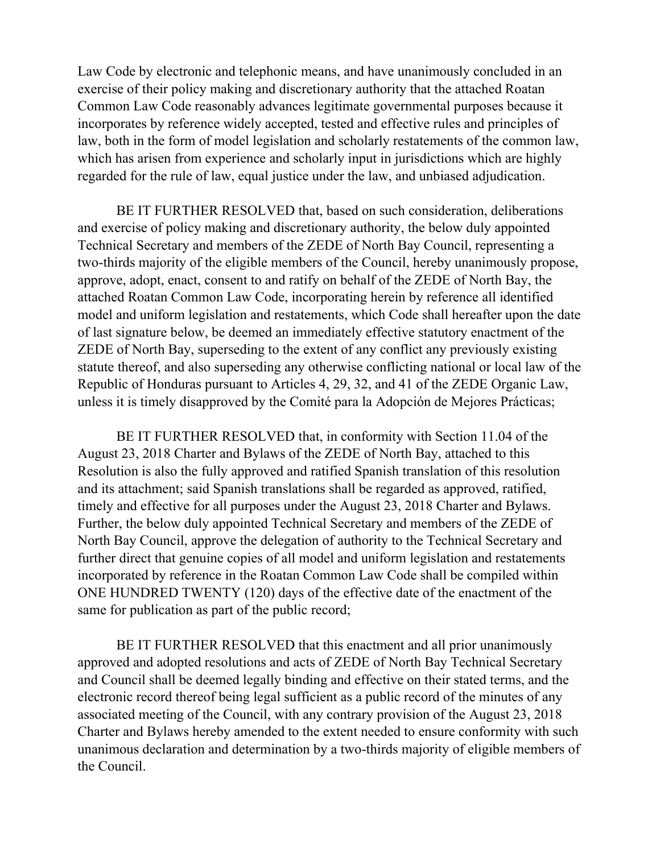Law Code by electronic and telephonic means, and have unanimously concluded in an exercise of their policy making and discretionary authority that the attached Roatan Common Law Code reasonably advances legitimate governmental purposes because it incorporates by reference widely accepted, tested and effective rules and principles of law, both in the form of model legislation and scholarly restatements of the common law, which has arisen from experience and scholarly input in jurisdictions which are highly regarded for the rule of law, equal justice under the law, and unbiased adjudication.

BE IT FURTHER RESOLVED that, based on such consideration, deliberations and exercise of policy making and discretionary authority, the below duly appointed Technical Secretary and members of the ZEDE of North Bay Council, representing a two-thirds majority of the eligible members of the Council, hereby unanimously propose, approve, adopt, enact, consent to and ratify on behalf of the ZEDE of North Bay, the attached Roatan Common Law Code, incorporating herein by reference all identified model and uniform legislation and restatements, which Code shall hereafter upon the date of last signature below, be deemed an immediately effective statutory enactment of the ZEDE of North Bay, superseding to the extent of any conflict any previously existing statute thereof, and also superseding any otherwise conflicting national or local law of the Republic of Honduras pursuant to Articles 4, 29, 32, and 41 of the ZEDE Organic Law, unless it is timely disapproved by the Comité para la Adopción de Mejores Prácticas;

BE IT FURTHER RESOLVED that, in conformity with Section 11.04 of the August 23, 2018 Charter and Bylaws of the ZEDE of North Bay, attached to this Resolution is also the fully approved and ratified Spanish translation of this resolution and its attachment; said Spanish translations shall be regarded as approved, ratified, timely and effective for all purposes under the August 23, 2018 Charter and Bylaws. Further, the below duly appointed Technical Secretary and members of the ZEDE of North Bay Council, approve the delegation of authority to the Technical Secretary and further direct that genuine copies of all model and uniform legislation and restatements incorporated by reference in the Roatan Common Law Code shall be compiled within ONE HUNDRED TWENTY (120) days of the effective date of the enactment of the same for publication as part of the public record;

BE IT FURTHER RESOLVED that this enactment and all prior unanimously approved and adopted resolutions and acts of ZEDE of North Bay Technical Secretary and Council shall be deemed legally binding and effective on their stated terms, and the electronic record thereof being legal sufficient as a public record of the minutes of any associated meeting of the Council, with any contrary provision of the August 23, 2018 Charter and Bylaws hereby amended to the extent needed to ensure conformity with such unanimous declaration and determination by a two-thirds majority of eligible members of the Council.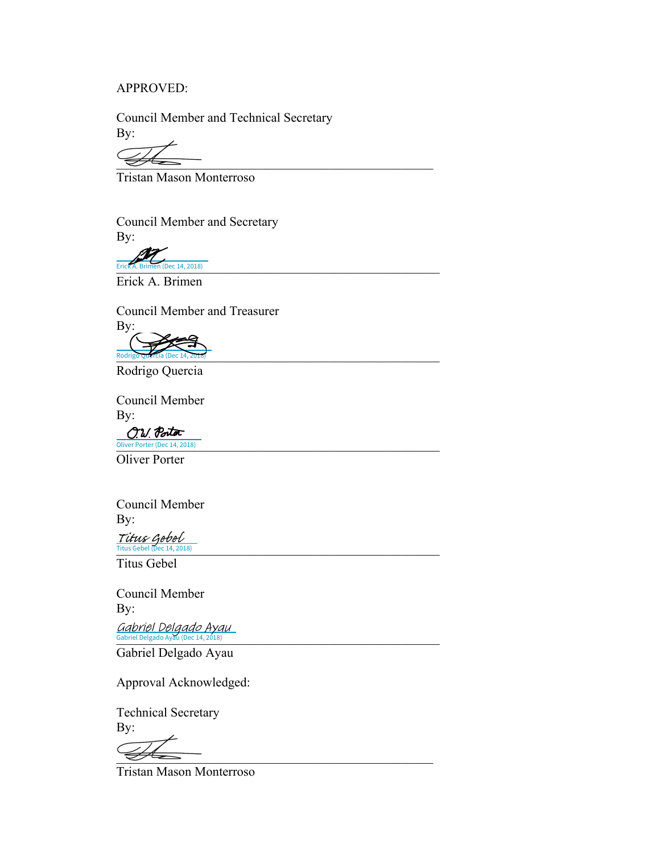#### APPROVED:

 Council Member and Technical Secretary By:

 $\overline{\mathscr{L}}$ 

Tristan Mason Monterroso

Council Member and Secretary By:

Erick A. Brimen (Dec 14, 2018) Erick A. Brimen (Dec 14, 2018)

Erick A. Brimen

Council Member and Treasurer

 By: Rodrigo Quercia (Dec 14, 2016) Rodrigo Quercia (Dec 14, 2018)

Rodrigo Quercia

 Council Member By:

O.W. Portor Oliver Porter (Dec 14, 2018) **Subset of the United States of the United States of the United States** 

Oliver Porter

Council Member By:

 $Titus \text{ Gebel}$ <br>Titus Gebel (Dec 14, 2018)

Titus Gebel

Council Member By:

Gabriel Delgado Ayau<br>Gabriel Delgado Ayau (Dec 14, 2018)

Gabriel Delgado Ayau

Approval Acknowledged:

 Technical Secretary By:

 $\overline{\mathscr{L}}$ 

Tristan Mason Monterroso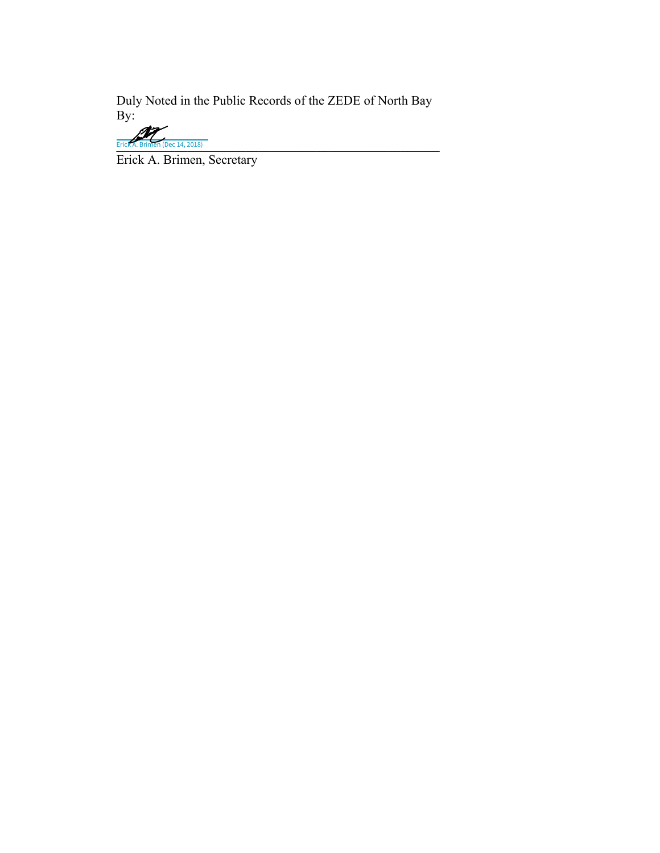Duly Noted in the Public Records of the ZEDE of North Bay By:

Erick A. Brimen (Dec 14, 2018)

Erick A. Brimen, Secretary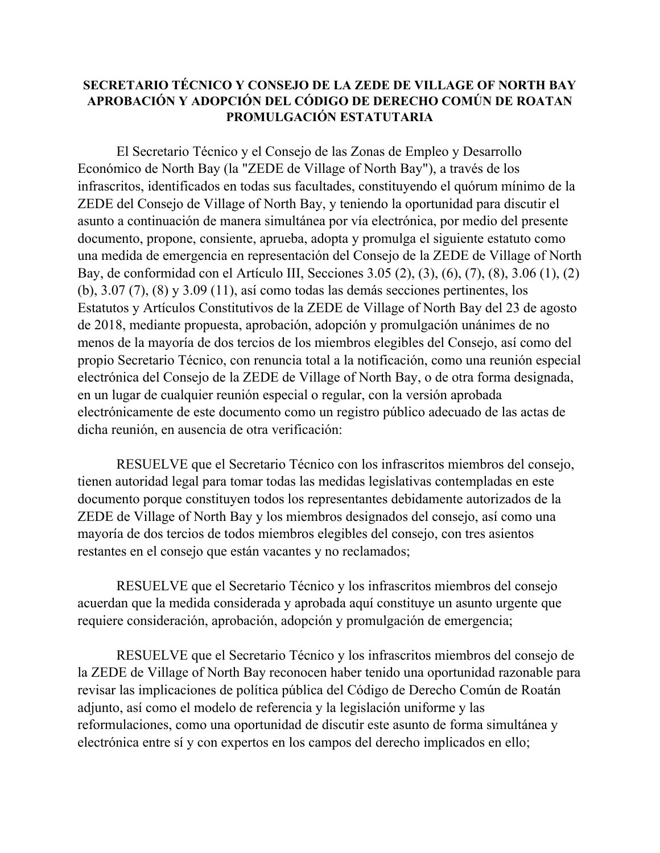## **SECRETARIO TÉCNICO Y CONSEJO DE LA ZEDE DE VILLAGE OF NORTH BAY APROBACIÓN Y ADOPCIÓN DEL CÓDIGO DE DERECHO COMÚN DE ROATAN PROMULGACIÓN ESTATUTARIA**

El Secretario Técnico y el Consejo de las Zonas de Empleo y Desarrollo Económico de North Bay (la "ZEDE de Village of North Bay"), a través de los infrascritos, identificados en todas sus facultades, constituyendo el quórum mínimo de la ZEDE del Consejo de Village of North Bay, y teniendo la oportunidad para discutir el asunto a continuación de manera simultánea por vía electrónica, por medio del presente documento, propone, consiente, aprueba, adopta y promulga el siguiente estatuto como una medida de emergencia en representación del Consejo de la ZEDE de Village of North Bay, de conformidad con el Artículo III, Secciones 3.05 (2), (3), (6), (7), (8), 3.06 (1), (2) (b), 3.07 (7), (8) y 3.09 (11), así como todas las demás secciones pertinentes, los Estatutos y Artículos Constitutivos de la ZEDE de Village of North Bay del 23 de agosto de 2018, mediante propuesta, aprobación, adopción y promulgación unánimes de no menos de la mayoría de dos tercios de los miembros elegibles del Consejo, así como del propio Secretario Técnico, con renuncia total a la notificación, como una reunión especial electrónica del Consejo de la ZEDE de Village of North Bay, o de otra forma designada, en un lugar de cualquier reunión especial o regular, con la versión aprobada electrónicamente de este documento como un registro público adecuado de las actas de dicha reunión, en ausencia de otra verificación:

RESUELVE que el Secretario Técnico con los infrascritos miembros del consejo, tienen autoridad legal para tomar todas las medidas legislativas contempladas en este documento porque constituyen todos los representantes debidamente autorizados de la ZEDE de Village of North Bay y los miembros designados del consejo, así como una mayoría de dos tercios de todos miembros elegibles del consejo, con tres asientos restantes en el consejo que están vacantes y no reclamados;

RESUELVE que el Secretario Técnico y los infrascritos miembros del consejo acuerdan que la medida considerada y aprobada aquí constituye un asunto urgente que requiere consideración, aprobación, adopción y promulgación de emergencia;

RESUELVE que el Secretario Técnico y los infrascritos miembros del consejo de la ZEDE de Village of North Bay reconocen haber tenido una oportunidad razonable para revisar las implicaciones de política pública del Código de Derecho Común de Roatán adjunto, así como el modelo de referencia y la legislación uniforme y las reformulaciones, como una oportunidad de discutir este asunto de forma simultánea y electrónica entre sí y con expertos en los campos del derecho implicados en ello;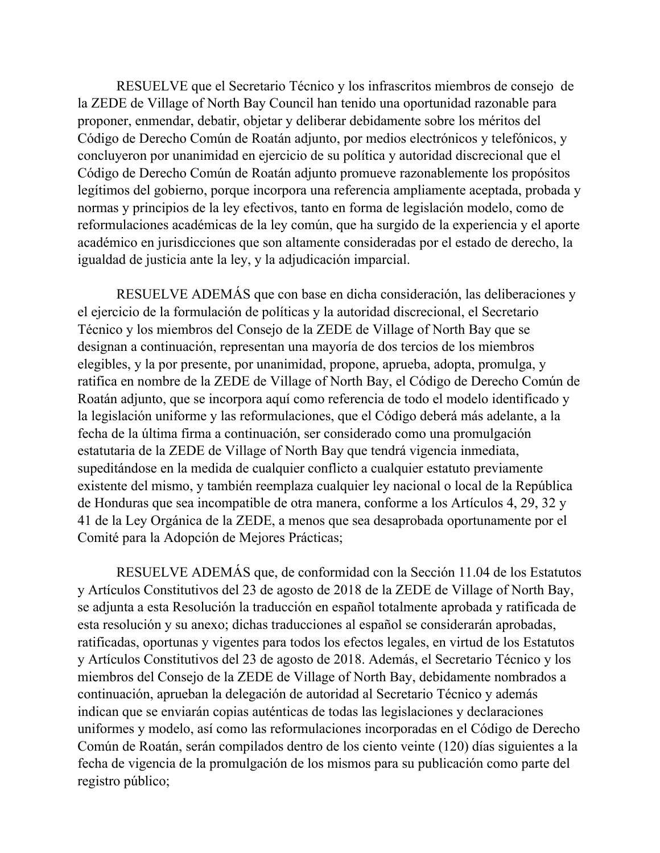RESUELVE que el Secretario Técnico y los infrascritos miembros de consejo de la ZEDE de Village of North Bay Council han tenido una oportunidad razonable para proponer, enmendar, debatir, objetar y deliberar debidamente sobre los méritos del Código de Derecho Común de Roatán adjunto, por medios electrónicos y telefónicos, y concluyeron por unanimidad en ejercicio de su política y autoridad discrecional que el Código de Derecho Común de Roatán adjunto promueve razonablemente los propósitos legítimos del gobierno, porque incorpora una referencia ampliamente aceptada, probada y normas y principios de la ley efectivos, tanto en forma de legislación modelo, como de reformulaciones académicas de la ley común, que ha surgido de la experiencia y el aporte académico en jurisdicciones que son altamente consideradas por el estado de derecho, la igualdad de justicia ante la ley, y la adjudicación imparcial.

RESUELVE ADEMÁS que con base en dicha consideración, las deliberaciones y el ejercicio de la formulación de políticas y la autoridad discrecional, el Secretario Técnico y los miembros del Consejo de la ZEDE de Village of North Bay que se designan a continuación, representan una mayoría de dos tercios de los miembros elegibles, y la por presente, por unanimidad, propone, aprueba, adopta, promulga, y ratifica en nombre de la ZEDE de Village of North Bay, el Código de Derecho Común de Roatán adjunto, que se incorpora aquí como referencia de todo el modelo identificado y la legislación uniforme y las reformulaciones, que el Código deberá más adelante, a la fecha de la última firma a continuación, ser considerado como una promulgación estatutaria de la ZEDE de Village of North Bay que tendrá vigencia inmediata, supeditándose en la medida de cualquier conflicto a cualquier estatuto previamente existente del mismo, y también reemplaza cualquier ley nacional o local de la República de Honduras que sea incompatible de otra manera, conforme a los Artículos 4, 29, 32 y 41 de la Ley Orgánica de la ZEDE, a menos que sea desaprobada oportunamente por el Comité para la Adopción de Mejores Prácticas;

RESUELVE ADEMÁS que, de conformidad con la Sección 11.04 de los Estatutos y Artículos Constitutivos del 23 de agosto de 2018 de la ZEDE de Village of North Bay, se adjunta a esta Resolución la traducción en español totalmente aprobada y ratificada de esta resolución y su anexo; dichas traducciones al español se considerarán aprobadas, ratificadas, oportunas y vigentes para todos los efectos legales, en virtud de los Estatutos y Artículos Constitutivos del 23 de agosto de 2018. Además, el Secretario Técnico y los miembros del Consejo de la ZEDE de Village of North Bay, debidamente nombrados a continuación, aprueban la delegación de autoridad al Secretario Técnico y además indican que se enviarán copias auténticas de todas las legislaciones y declaraciones uniformes y modelo, así como las reformulaciones incorporadas en el Código de Derecho Común de Roatán, serán compilados dentro de los ciento veinte (120) días siguientes a la fecha de vigencia de la promulgación de los mismos para su publicación como parte del registro público;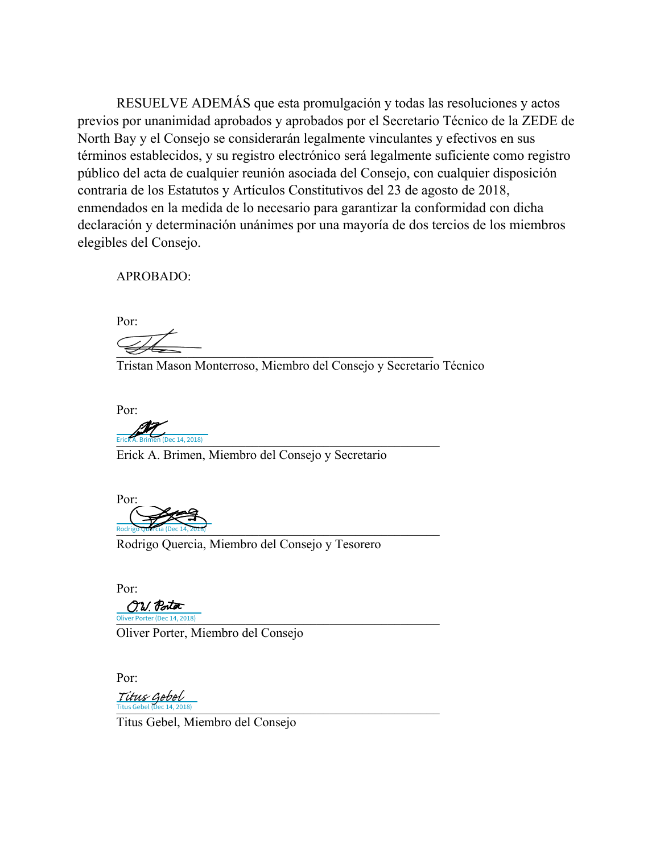RESUELVE ADEMÁS que esta promulgación y todas las resoluciones y actos previos por unanimidad aprobados y aprobados por el Secretario Técnico de la ZEDE de North Bay y el Consejo se considerarán legalmente vinculantes y efectivos en sus términos establecidos, y su registro electrónico será legalmente suficiente como registro público del acta de cualquier reunión asociada del Consejo, con cualquier disposición contraria de los Estatutos y Artículos Constitutivos del 23 de agosto de 2018, enmendados en la medida de lo necesario para garantizar la conformidad con dicha declaración y determinación unánimes por una mayoría de dos tercios de los miembros elegibles del Consejo.

APROBADO:

 Por:  $\overline{\mathscr{L}}$ 

Tristan Mason Monterroso, Miembro del Consejo y Secretario Técnico

Por:

Erick A. Brimen (Dec 14, 2018) Pec 14, 2018)

Erick A. Brimen, Miembro del Consejo y Secretario

 Por: Rodrigo Quercia (Dec 14, 2016) Rodrigo Quercia (Dec 14, 2018)

Rodrigo Quercia, Miembro del Consejo y Tesorero

 Por: O.W. Portor Oliver Porter (Dec 14, 2018)

Oliver Porter, Miembro del Consejo

Por:

Titus Gebel (Dec 14, 2018) Titus Gebel (Dec 14, 2018) Titus Gebel

Titus Gebel, Miembro del Consejo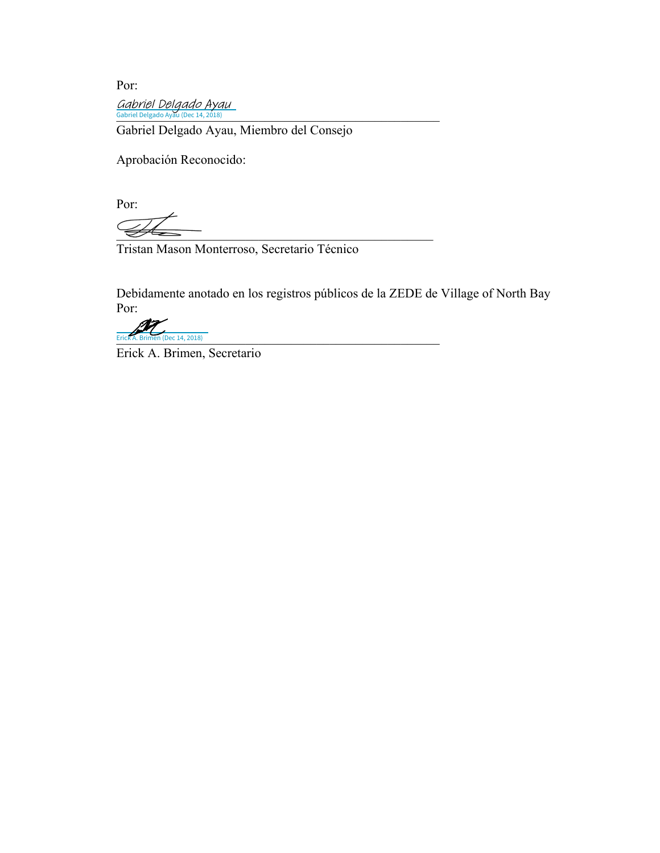Por: Gabriel Delgado Ayau<br>Gabriel Delgado Ayau (Dec 14, 2018)

Gabriel Delgado Ayau, Miembro del Consejo

Aprobación Reconocido:

Por:

 $\overline{\mathscr{L}}$ 

Tristan Mason Monterroso, Secretario Técnico

 Debidamente anotado en los registros públicos de la ZEDE de Village of North Bay Por:

Erick A. Brimen (Dec 14, 2018) Erick A. Brimen (Dec 14, 2018)

Erick A. Brimen, Secretario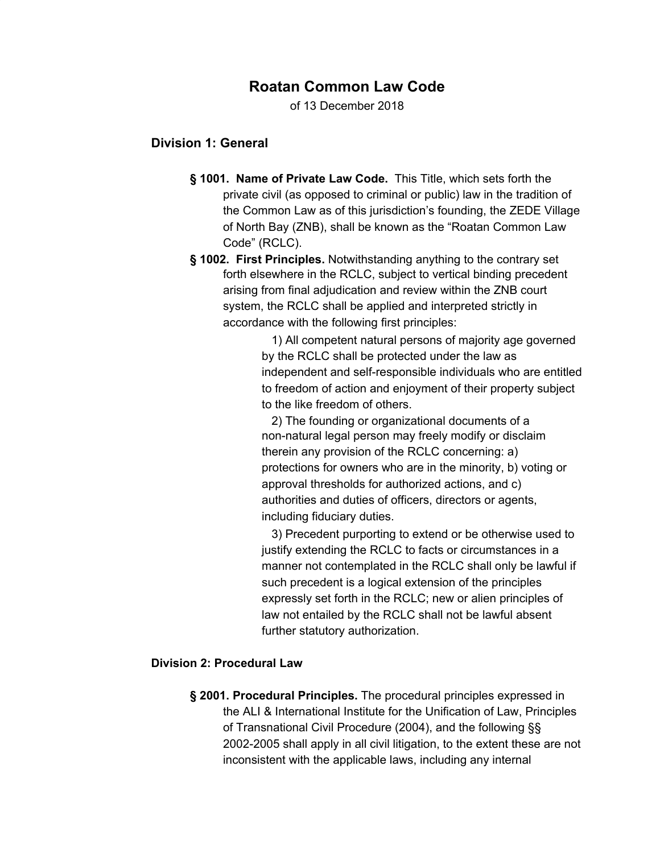## **Roatan Common Law Code**

of 13 December 2018

### **Division 1: General**

- **§ 1001. Name of Private Law Code.** This Title, which sets forth the private civil (as opposed to criminal or public) law in the tradition of the Common Law as of this jurisdiction's founding, the ZEDE Village of North Bay (ZNB), shall be known as the "Roatan Common Law Code" (RCLC).
- **§ 1002. First Principles.** Notwithstanding anything to the contrary set forth elsewhere in the RCLC, subject to vertical binding precedent arising from final adjudication and review within the ZNB court system, the RCLC shall be applied and interpreted strictly in accordance with the following first principles:

1) All competent natural persons of majority age governed by the RCLC shall be protected under the law as independent and self-responsible individuals who are entitled to freedom of action and enjoyment of their property subject to the like freedom of others.

2) The founding or organizational documents of a non-natural legal person may freely modify or disclaim therein any provision of the RCLC concerning: a) protections for owners who are in the minority, b) voting or approval thresholds for authorized actions, and c) authorities and duties of officers, directors or agents, including fiduciary duties.

3) Precedent purporting to extend or be otherwise used to justify extending the RCLC to facts or circumstances in a manner not contemplated in the RCLC shall only be lawful if such precedent is a logical extension of the principles expressly set forth in the RCLC; new or alien principles of law not entailed by the RCLC shall not be lawful absent further statutory authorization.

#### **Division 2: Procedural Law**

**§ 2001. Procedural Principles.** The procedural principles expressed in the ALI & International Institute for the Unification of Law, Principles of Transnational Civil Procedure (2004), and the following §§ 2002-2005 shall apply in all civil litigation, to the extent these are not inconsistent with the applicable laws, including any internal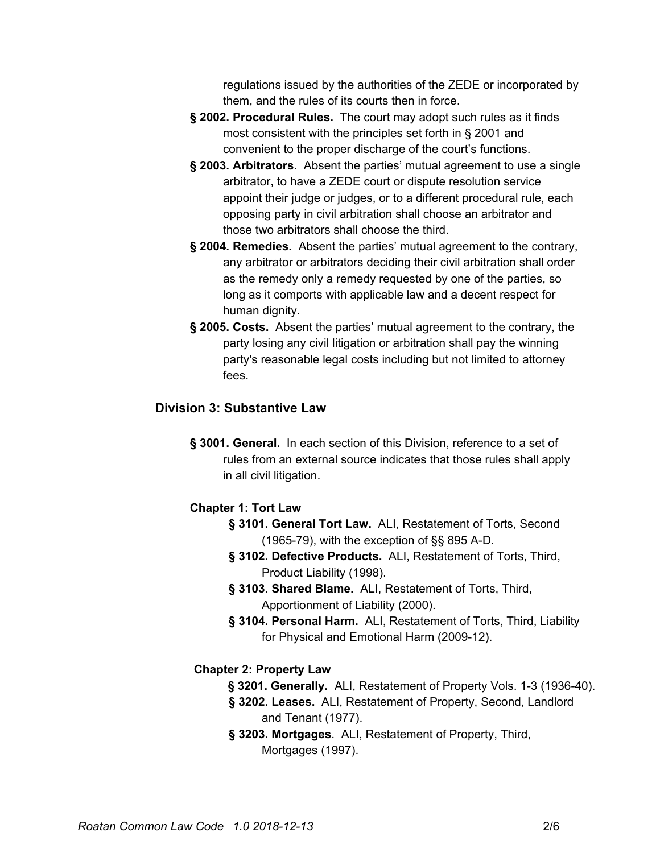regulations issued by the authorities of the ZEDE or incorporated by them, and the rules of its courts then in force.

- **§ 2002. Procedural Rules.** The court may adopt such rules as it finds most consistent with the principles set forth in § 2001 and convenient to the proper discharge of the court's functions.
- **§ 2003. Arbitrators.** Absent the parties' mutual agreement to use a single arbitrator, to have a ZEDE court or dispute resolution service appoint their judge or judges, or to a different procedural rule, each opposing party in civil arbitration shall choose an arbitrator and those two arbitrators shall choose the third.
- **§ 2004. Remedies.** Absent the parties' mutual agreement to the contrary, any arbitrator or arbitrators deciding their civil arbitration shall order as the remedy only a remedy requested by one of the parties, so long as it comports with applicable law and a decent respect for human dignity.
- **§ 2005. Costs.** Absent the parties' mutual agreement to the contrary, the party losing any civil litigation or arbitration shall pay the winning party's reasonable legal costs including but not limited to attorney fees.

## **Division 3: Substantive Law**

**§ 3001. General.** In each section of this Division, reference to a set of rules from an external source indicates that those rules shall apply in all civil litigation.

## **Chapter 1: Tort Law**

- **§ 3101. General Tort Law.** ALI, Restatement of Torts, Second (1965-79), with the exception of §§ 895 A-D.
- **§ 3102. Defective Products.** ALI, Restatement of Torts, Third, Product Liability (1998).
- **§ 3103. Shared Blame.** ALI, Restatement of Torts, Third, Apportionment of Liability (2000).
- **§ 3104. Personal Harm.** ALI, Restatement of Torts, Third, Liability for Physical and Emotional Harm (2009-12).

## **Chapter 2: Property Law**

- **§ 3201. Generally.** ALI, Restatement of Property Vols. 1-3 (1936-40).
- **§ 3202. Leases.** ALI, Restatement of Property, Second, Landlord and Tenant (1977).
- **§ 3203. Mortgages**. ALI, Restatement of Property, Third, Mortgages (1997).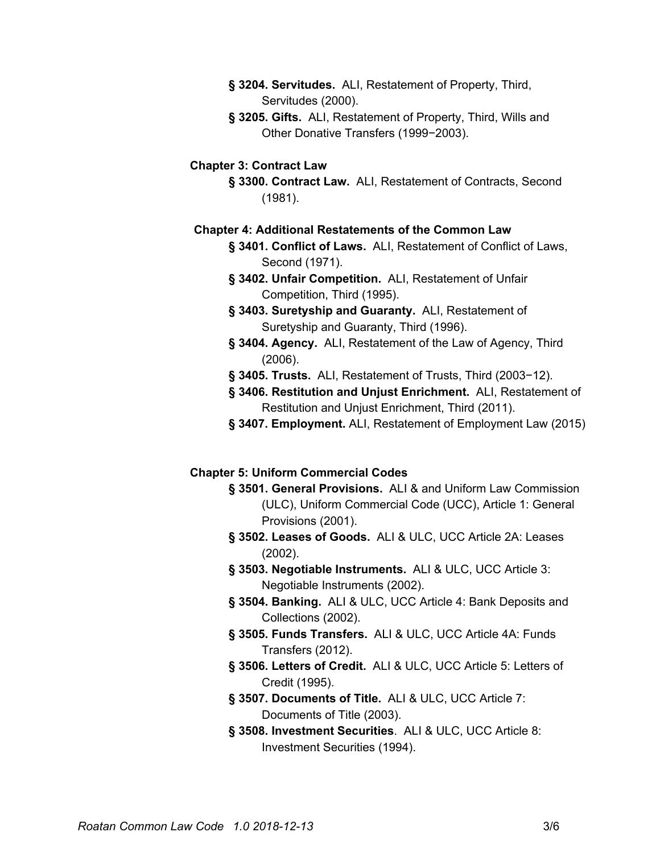- **§ 3204. Servitudes.** ALI, Restatement of Property, Third, Servitudes (2000).
- **§ 3205. Gifts.** ALI, Restatement of Property, Third, Wills and Other Donative Transfers (1999−2003).

### **Chapter 3: Contract Law**

**§ 3300. Contract Law.** ALI, Restatement of Contracts, Second (1981).

#### **Chapter 4: Additional Restatements of the Common Law**

- **§ 3401. Conflict of Laws.** ALI, Restatement of Conflict of Laws, Second (1971).
- **§ 3402. Unfair Competition.** ALI, Restatement of Unfair Competition, Third (1995).
- **§ 3403. Suretyship and Guaranty.** ALI, Restatement of Suretyship and Guaranty, Third (1996).
- **§ 3404. Agency.** ALI, Restatement of the Law of Agency, Third (2006).
- **§ 3405. Trusts.** ALI, Restatement of Trusts, Third (2003−12).
- **§ 3406. Restitution and Unjust Enrichment.** ALI, Restatement of Restitution and Unjust Enrichment, Third (2011).
- **§ 3407. Employment.** ALI, Restatement of Employment Law (2015)

#### **Chapter 5: Uniform Commercial Codes**

- **§ 3501. General Provisions.** ALI & and Uniform Law Commission (ULC), Uniform Commercial Code (UCC), Article 1: General Provisions (2001).
- **§ 3502. Leases of Goods.** ALI & ULC, UCC Article 2A: Leases (2002).
- **§ 3503. Negotiable Instruments.** ALI & ULC, UCC Article 3: Negotiable Instruments (2002).
- **§ 3504. Banking.** ALI & ULC, UCC Article 4: Bank Deposits and Collections (2002).
- **§ 3505. Funds Transfers.** ALI & ULC, UCC Article 4A: Funds Transfers (2012).
- **§ 3506. Letters of Credit.** ALI & ULC, UCC Article 5: Letters of Credit (1995).
- **§ 3507. Documents of Title.** ALI & ULC, UCC Article 7: Documents of Title (2003).
- **§ 3508. Investment Securities**. ALI & ULC, UCC Article 8: Investment Securities (1994).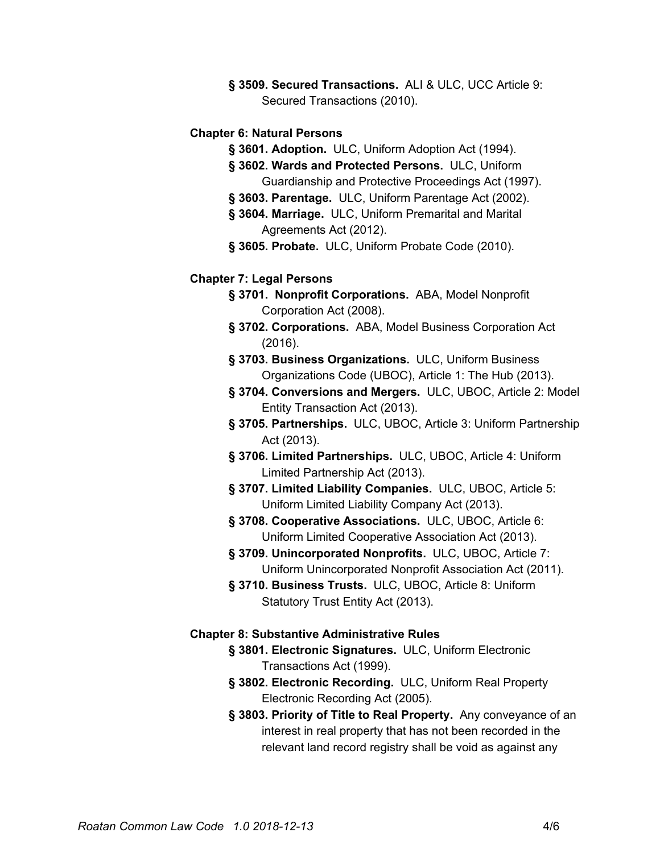**§ 3509. Secured Transactions.** ALI & ULC, UCC Article 9: Secured Transactions (2010).

#### **Chapter 6: Natural Persons**

- **§ 3601. Adoption.** ULC, Uniform Adoption Act (1994).
- **§ 3602. Wards and Protected Persons.** ULC, Uniform Guardianship and Protective Proceedings Act (1997).
- **§ 3603. Parentage.** ULC, Uniform Parentage Act (2002).
- **§ 3604. Marriage.** ULC, Uniform Premarital and Marital Agreements Act (2012).
- **§ 3605. Probate.** ULC, Uniform Probate Code (2010).

#### **Chapter 7: Legal Persons**

- **§ 3701. Nonprofit Corporations.** ABA, Model Nonprofit Corporation Act (2008).
- **§ 3702. Corporations.** ABA, Model Business Corporation Act (2016).
- **§ 3703. Business Organizations.** ULC, Uniform Business Organizations Code (UBOC), Article 1: The Hub (2013).
- **§ 3704. Conversions and Mergers.** ULC, UBOC, Article 2: Model Entity Transaction Act (2013).
- **§ 3705. Partnerships.** ULC, UBOC, Article 3: Uniform Partnership Act (2013).
- **§ 3706. Limited Partnerships.** ULC, UBOC, Article 4: Uniform Limited Partnership Act (2013).
- **§ 3707. Limited Liability Companies.** ULC, UBOC, Article 5: Uniform Limited Liability Company Act (2013).
- **§ 3708. Cooperative Associations.** ULC, UBOC, Article 6: Uniform Limited Cooperative Association Act (2013).
- **§ 3709. Unincorporated Nonprofits.** ULC, UBOC, Article 7: Uniform Unincorporated Nonprofit Association Act (2011).
- **§ 3710. Business Trusts.** ULC, UBOC, Article 8: Uniform Statutory Trust Entity Act (2013).

#### **Chapter 8: Substantive Administrative Rules**

- **§ 3801. Electronic Signatures.** ULC, Uniform Electronic Transactions Act (1999).
- **§ 3802. Electronic Recording.** ULC, Uniform Real Property Electronic Recording Act (2005).
- **§ 3803. Priority of Title to Real Property.** Any conveyance of an interest in real property that has not been recorded in the relevant land record registry shall be void as against any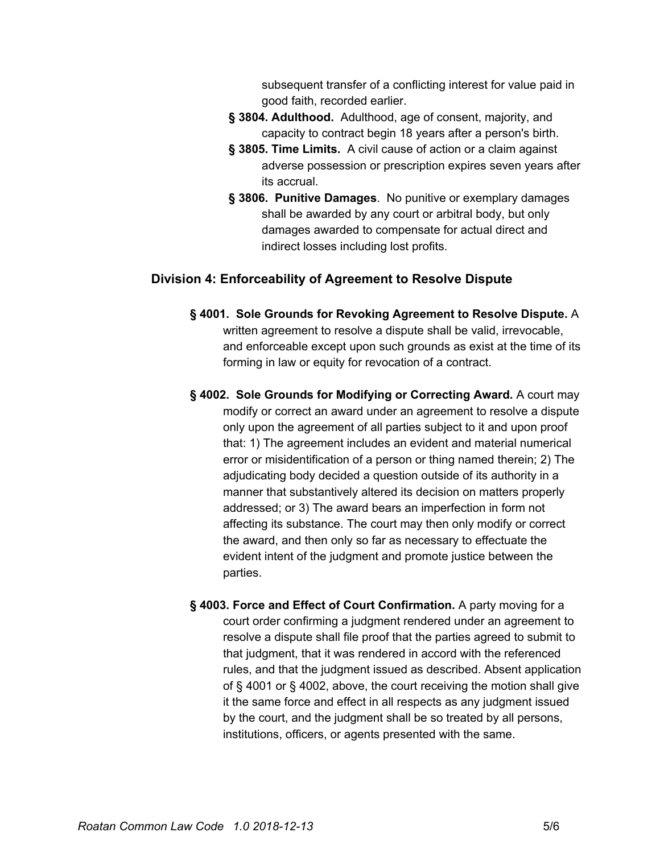subsequent transfer of a conflicting interest for value paid in good faith, recorded earlier.

- **§ 3804. Adulthood.** Adulthood, age of consent, majority, and capacity to contract begin 18 years after a person's birth.
- **§ 3805. Time Limits.** A civil cause of action or a claim against adverse possession or prescription expires seven years after its accrual.
- **§ 3806. Punitive Damages**. No punitive or exemplary damages shall be awarded by any court or arbitral body, but only damages awarded to compensate for actual direct and indirect losses including lost profits.

### **Division 4: Enforceability of Agreement to Resolve Dispute**

- **§ 4001. Sole Grounds for Revoking Agreement to Resolve Dispute.** A written agreement to resolve a dispute shall be valid, irrevocable, and enforceable except upon such grounds as exist at the time of its forming in law or equity for revocation of a contract.
- **§ 4002. Sole Grounds for Modifying or Correcting Award.** A court may modify or correct an award under an agreement to resolve a dispute only upon the agreement of all parties subject to it and upon proof that: 1) The agreement includes an evident and material numerical error or misidentification of a person or thing named therein; 2) The adjudicating body decided a question outside of its authority in a manner that substantively altered its decision on matters properly addressed; or 3) The award bears an imperfection in form not affecting its substance. The court may then only modify or correct the award, and then only so far as necessary to effectuate the evident intent of the judgment and promote justice between the parties.
- **§ 4003. Force and Effect of Court Confirmation.** A party moving for a court order confirming a judgment rendered under an agreement to resolve a dispute shall file proof that the parties agreed to submit to that judgment, that it was rendered in accord with the referenced rules, and that the judgment issued as described. Absent application of § 4001 or § 4002, above, the court receiving the motion shall give it the same force and effect in all respects as any judgment issued by the court, and the judgment shall be so treated by all persons, institutions, officers, or agents presented with the same.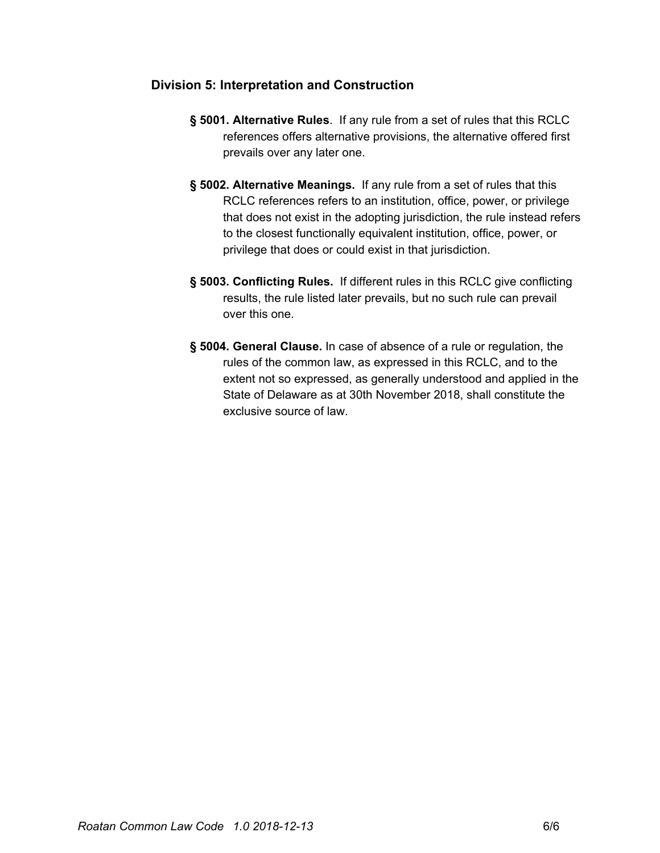## **Division 5: Interpretation and Construction**

- **§ 5001. Alternative Rules**. If any rule from a set of rules that this RCLC references offers alternative provisions, the alternative offered first prevails over any later one.
- **§ 5002. Alternative Meanings.** If any rule from a set of rules that this RCLC references refers to an institution, office, power, or privilege that does not exist in the adopting jurisdiction, the rule instead refers to the closest functionally equivalent institution, office, power, or privilege that does or could exist in that jurisdiction.
- **§ 5003. Conflicting Rules.** If different rules in this RCLC give conflicting results, the rule listed later prevails, but no such rule can prevail over this one.
- **§ 5004. General Clause.** In case of absence of a rule or regulation, the rules of the common law, as expressed in this RCLC, and to the extent not so expressed, as generally understood and applied in the State of Delaware as at 30th November 2018, shall constitute the exclusive source of law.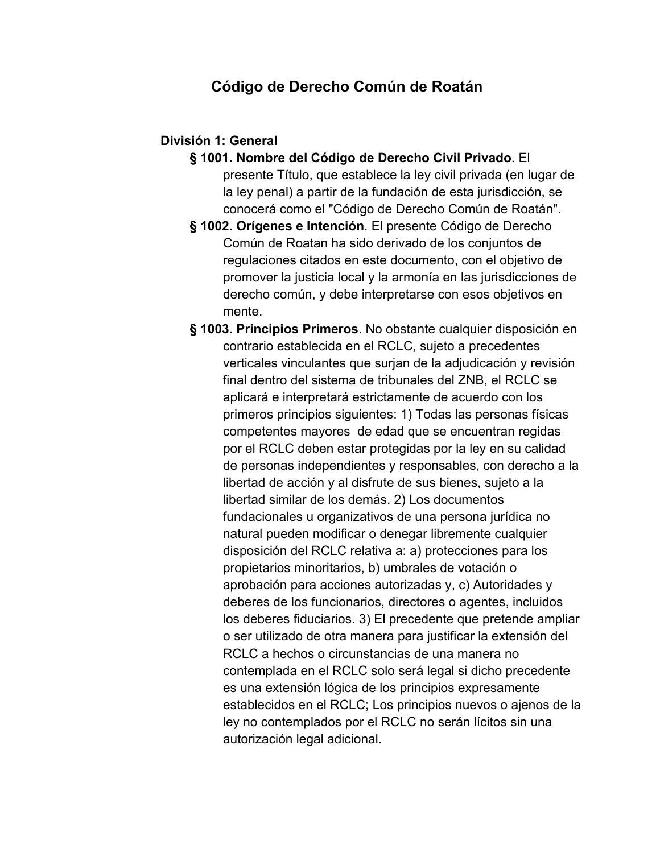## **Código de Derecho Común de Roatán**

## **División 1: General**

- **§ 1001. Nombre del Código de Derecho Civil Privado**. El presente Título, que establece la ley civil privada (en lugar de la ley penal) a partir de la fundación de esta jurisdicción, se conocerá como el "Código de Derecho Común de Roatán".
- **§ 1002. Orígenes e Intención**. El presente Código de Derecho Común de Roatan ha sido derivado de los conjuntos de regulaciones citados en este documento, con el objetivo de promover la justicia local y la armonía en las jurisdicciones de derecho común, y debe interpretarse con esos objetivos en mente.
- **§ 1003. Principios Primeros**. No obstante cualquier disposición en contrario establecida en el RCLC, sujeto a precedentes verticales vinculantes que surjan de la adjudicación y revisión final dentro del sistema de tribunales del ZNB, el RCLC se aplicará e interpretará estrictamente de acuerdo con los primeros principios siguientes: 1) Todas las personas físicas competentes mayores de edad que se encuentran regidas por el RCLC deben estar protegidas por la ley en su calidad de personas independientes y responsables, con derecho a la libertad de acción y al disfrute de sus bienes, sujeto a la libertad similar de los demás. 2) Los documentos fundacionales u organizativos de una persona jurídica no natural pueden modificar o denegar libremente cualquier disposición del RCLC relativa a: a) protecciones para los propietarios minoritarios, b) umbrales de votación o aprobación para acciones autorizadas y, c) Autoridades y deberes de los funcionarios, directores o agentes, incluidos los deberes fiduciarios. 3) El precedente que pretende ampliar o ser utilizado de otra manera para justificar la extensión del RCLC a hechos o circunstancias de una manera no contemplada en el RCLC solo será legal si dicho precedente es una extensión lógica de los principios expresamente establecidos en el RCLC; Los principios nuevos o ajenos de la ley no contemplados por el RCLC no serán lícitos sin una autorización legal adicional.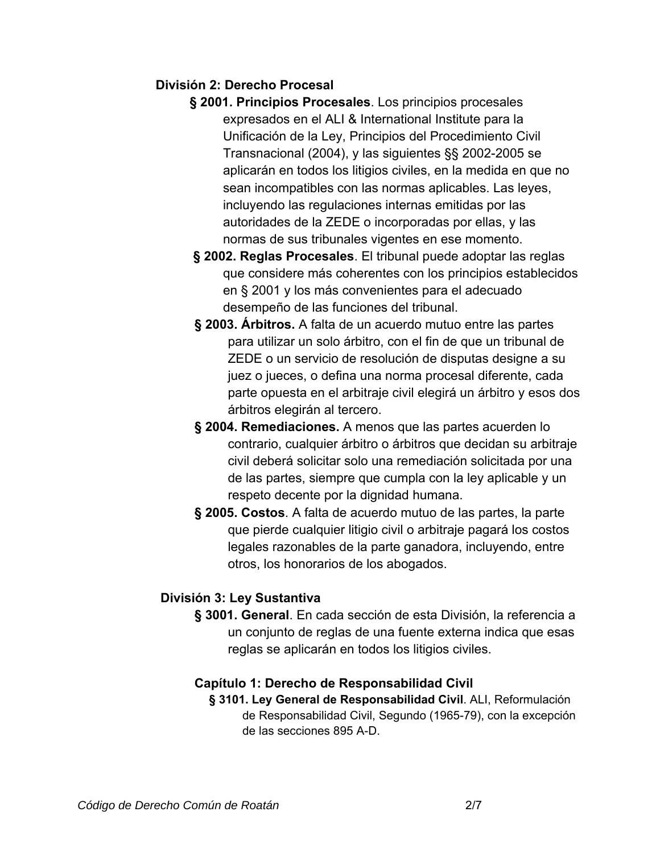## **División 2: Derecho Procesal**

- **§ 2001. Principios Procesales**. Los principios procesales expresados en el ALI & International Institute para la Unificación de la Ley, Principios del Procedimiento Civil Transnacional (2004), y las siguientes §§ 2002-2005 se aplicarán en todos los litigios civiles, en la medida en que no sean incompatibles con las normas aplicables. Las leyes, incluyendo las regulaciones internas emitidas por las autoridades de la ZEDE o incorporadas por ellas, y las normas de sus tribunales vigentes en ese momento.
- **§ 2002. Reglas Procesales**. El tribunal puede adoptar las reglas que considere más coherentes con los principios establecidos en § 2001 y los más convenientes para el adecuado desempeño de las funciones del tribunal.
- **§ 2003. Árbitros.** A falta de un acuerdo mutuo entre las partes para utilizar un solo árbitro, con el fin de que un tribunal de ZEDE o un servicio de resolución de disputas designe a su juez o jueces, o defina una norma procesal diferente, cada parte opuesta en el arbitraje civil elegirá un árbitro y esos dos árbitros elegirán al tercero.
- **§ 2004. Remediaciones.** A menos que las partes acuerden lo contrario, cualquier árbitro o árbitros que decidan su arbitraje civil deberá solicitar solo una remediación solicitada por una de las partes, siempre que cumpla con la ley aplicable y un respeto decente por la dignidad humana.
- **§ 2005. Costos**. A falta de acuerdo mutuo de las partes, la parte que pierde cualquier litigio civil o arbitraje pagará los costos legales razonables de la parte ganadora, incluyendo, entre otros, los honorarios de los abogados.

## **División 3: Ley Sustantiva**

**§ 3001. General**. En cada sección de esta División, la referencia a un conjunto de reglas de una fuente externa indica que esas reglas se aplicarán en todos los litigios civiles.

## **Capítulo 1: Derecho de Responsabilidad Civil**

**§ 3101. Ley General de Responsabilidad Civil**. ALI, Reformulación de Responsabilidad Civil, Segundo (1965-79), con la excepción de las secciones 895 A-D.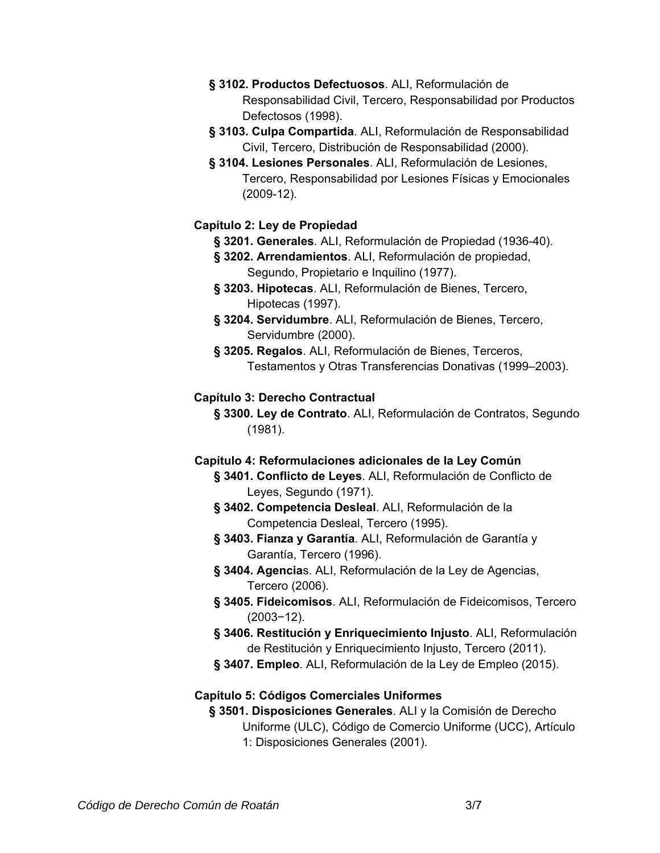- **§ 3102. Productos Defectuosos**. ALI, Reformulación de Responsabilidad Civil, Tercero, Responsabilidad por Productos Defectosos (1998).
- **§ 3103. Culpa Compartida**. ALI, Reformulación de Responsabilidad Civil, Tercero, Distribución de Responsabilidad (2000).
- **§ 3104. Lesiones Personales**. ALI, Reformulación de Lesiones, Tercero, Responsabilidad por Lesiones Físicas y Emocionales (2009-12).

## **Capítulo 2: Ley de Propiedad**

- **§ 3201. Generales**. ALI, Reformulación de Propiedad (1936-40).
- **§ 3202. Arrendamientos**. ALI, Reformulación de propiedad, Segundo, Propietario e Inquilino (1977).
- **§ 3203. Hipotecas**. ALI, Reformulación de Bienes, Tercero, Hipotecas (1997).
- **§ 3204. Servidumbre**. ALI, Reformulación de Bienes, Tercero, Servidumbre (2000).
- **§ 3205. Regalos**. ALI, Reformulación de Bienes, Terceros, Testamentos y Otras Transferencias Donativas (1999–2003).

## **Capítulo 3: Derecho Contractual**

**§ 3300. Ley de Contrato**. ALI, Reformulación de Contratos, Segundo (1981).

## **Capítulo 4: Reformulaciones adicionales de la Ley Común**

- **§ 3401. Conflicto de Leyes**. ALI, Reformulación de Conflicto de Leyes, Segundo (1971).
- **§ 3402. Competencia Desleal**. ALI, Reformulación de la Competencia Desleal, Tercero (1995).
- **§ 3403. Fianza y Garantía**. ALI, Reformulación de Garantía y Garantía, Tercero (1996).
- **§ 3404. Agencia**s. ALI, Reformulación de la Ley de Agencias, Tercero (2006).
- **§ 3405. Fideicomisos**. ALI, Reformulación de Fideicomisos, Tercero (2003−12).
- **§ 3406. Restitución y Enriquecimiento Injusto**. ALI, Reformulación de Restitución y Enriquecimiento Injusto, Tercero (2011).
- **§ 3407. Empleo**. ALI, Reformulación de la Ley de Empleo (2015).

## **Capítulo 5: Códigos Comerciales Uniformes**

**§ 3501. Disposiciones Generales**. ALI y la Comisión de Derecho Uniforme (ULC), Código de Comercio Uniforme (UCC), Artículo 1: Disposiciones Generales (2001).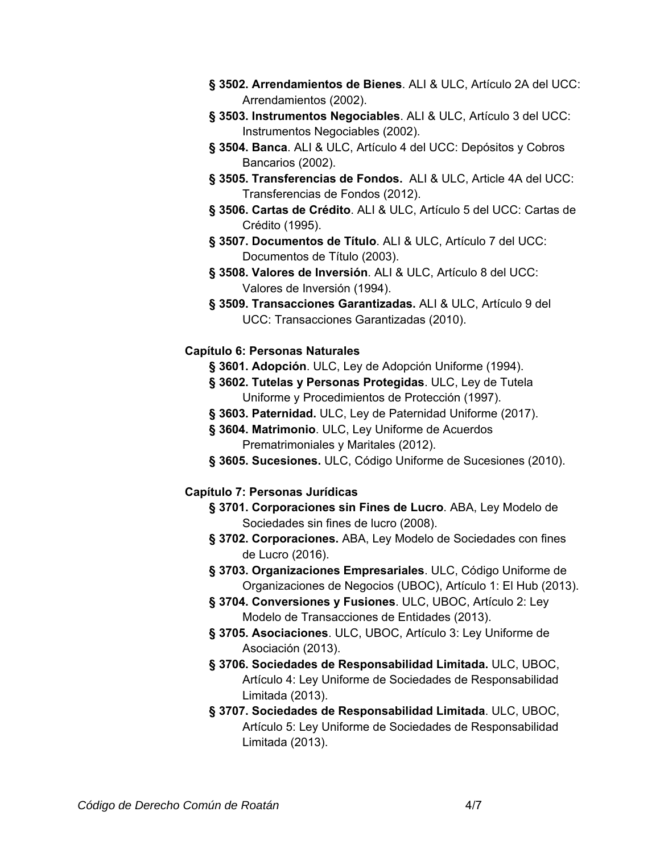- **§ 3502. Arrendamientos de Bienes**. ALI & ULC, Artículo 2A del UCC: Arrendamientos (2002).
- **§ 3503. Instrumentos Negociables**. ALI & ULC, Artículo 3 del UCC: Instrumentos Negociables (2002).
- **§ 3504. Banca**. ALI & ULC, Artículo 4 del UCC: Depósitos y Cobros Bancarios (2002).
- **§ 3505. Transferencias de Fondos.** ALI & ULC, Article 4A del UCC: Transferencias de Fondos (2012).
- **§ 3506. Cartas de Crédito**. ALI & ULC, Artículo 5 del UCC: Cartas de Crédito (1995).
- **§ 3507. Documentos de Título**. ALI & ULC, Artículo 7 del UCC: Documentos de Título (2003).
- **§ 3508. Valores de Inversión**. ALI & ULC, Artículo 8 del UCC: Valores de Inversión (1994).
- **§ 3509. Transacciones Garantizadas.** ALI & ULC, Artículo 9 del UCC: Transacciones Garantizadas (2010).

## **Capítulo 6: Personas Naturales**

- **§ 3601. Adopción**. ULC, Ley de Adopción Uniforme (1994).
- **§ 3602. Tutelas y Personas Protegidas**. ULC, Ley de Tutela Uniforme y Procedimientos de Protección (1997).
- **§ 3603. Paternidad.** ULC, Ley de Paternidad Uniforme (2017).
- **§ 3604. Matrimonio**. ULC, Ley Uniforme de Acuerdos Prematrimoniales y Maritales (2012).
- **§ 3605. Sucesiones.** ULC, Código Uniforme de Sucesiones (2010).

## **Capítulo 7: Personas Jurídicas**

- **§ 3701. Corporaciones sin Fines de Lucro**. ABA, Ley Modelo de Sociedades sin fines de lucro (2008).
- **§ 3702. Corporaciones.** ABA, Ley Modelo de Sociedades con fines de Lucro (2016).
- **§ 3703. Organizaciones Empresariales**. ULC, Código Uniforme de Organizaciones de Negocios (UBOC), Artículo 1: El Hub (2013).
- **§ 3704. Conversiones y Fusiones**. ULC, UBOC, Artículo 2: Ley Modelo de Transacciones de Entidades (2013).
- **§ 3705. Asociaciones**. ULC, UBOC, Artículo 3: Ley Uniforme de Asociación (2013).
- **§ 3706. Sociedades de Responsabilidad Limitada.** ULC, UBOC, Artículo 4: Ley Uniforme de Sociedades de Responsabilidad Limitada (2013).
- **§ 3707. Sociedades de Responsabilidad Limitada**. ULC, UBOC, Artículo 5: Ley Uniforme de Sociedades de Responsabilidad Limitada (2013).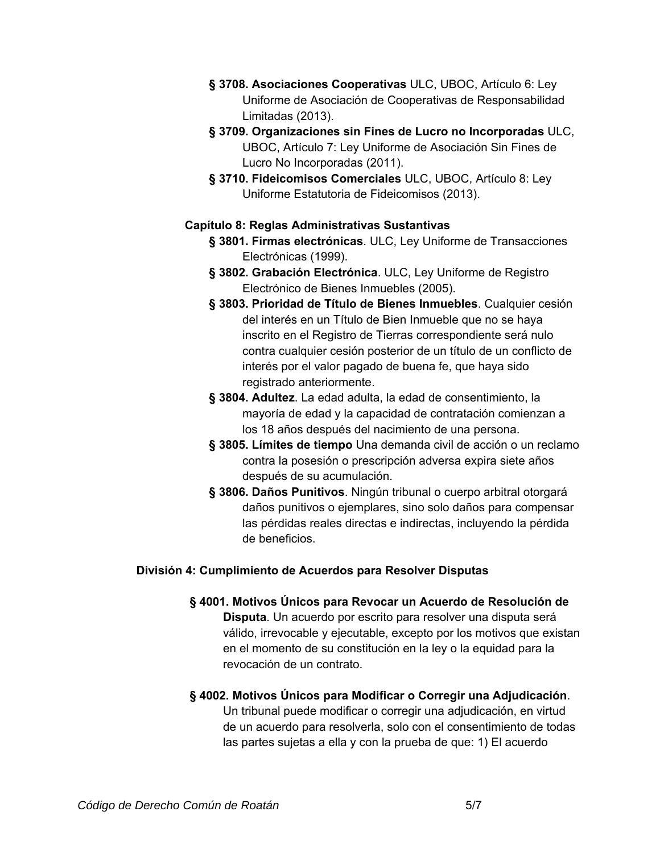- **§ 3708. Asociaciones Cooperativas** ULC, UBOC, Artículo 6: Ley Uniforme de Asociación de Cooperativas de Responsabilidad Limitadas (2013).
- **§ 3709. Organizaciones sin Fines de Lucro no Incorporadas** ULC, UBOC, Artículo 7: Ley Uniforme de Asociación Sin Fines de Lucro No Incorporadas (2011).
- **§ 3710. Fideicomisos Comerciales** ULC, UBOC, Artículo 8: Ley Uniforme Estatutoria de Fideicomisos (2013).

## **Capítulo 8: Reglas Administrativas Sustantivas**

- **§ 3801. Firmas electrónicas**. ULC, Ley Uniforme de Transacciones Electrónicas (1999).
- **§ 3802. Grabación Electrónica**. ULC, Ley Uniforme de Registro Electrónico de Bienes Inmuebles (2005).
- **§ 3803. Prioridad de Título de Bienes Inmuebles**. Cualquier cesión del interés en un Título de Bien Inmueble que no se haya inscrito en el Registro de Tierras correspondiente será nulo contra cualquier cesión posterior de un título de un conflicto de interés por el valor pagado de buena fe, que haya sido registrado anteriormente.
- **§ 3804. Adultez**. La edad adulta, la edad de consentimiento, la mayoría de edad y la capacidad de contratación comienzan a los 18 años después del nacimiento de una persona.
- **§ 3805. Límites de tiempo** Una demanda civil de acción o un reclamo contra la posesión o prescripción adversa expira siete años después de su acumulación.
- **§ 3806. Daños Punitivos**. Ningún tribunal o cuerpo arbitral otorgará daños punitivos o ejemplares, sino solo daños para compensar las pérdidas reales directas e indirectas, incluyendo la pérdida de beneficios.

## **División 4: Cumplimiento de Acuerdos para Resolver Disputas**

- **§ 4001. Motivos Únicos para Revocar un Acuerdo de Resolución de Disputa**. Un acuerdo por escrito para resolver una disputa será válido, irrevocable y ejecutable, excepto por los motivos que existan en el momento de su constitución en la ley o la equidad para la revocación de un contrato.
- **§ 4002. Motivos Únicos para Modificar o Corregir una Adjudicación**. Un tribunal puede modificar o corregir una adjudicación, en virtud de un acuerdo para resolverla, solo con el consentimiento de todas las partes sujetas a ella y con la prueba de que: 1) El acuerdo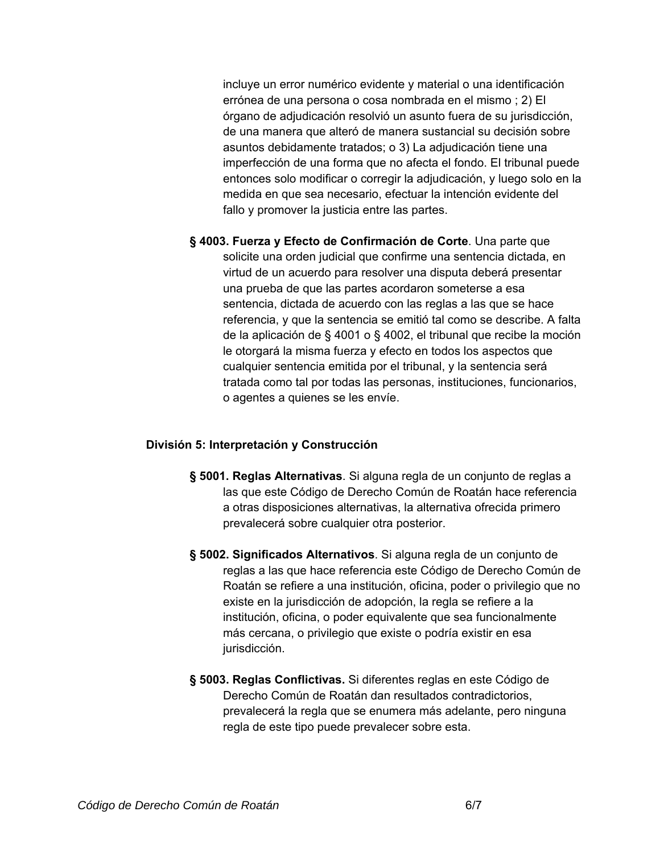incluye un error numérico evidente y material o una identificación errónea de una persona o cosa nombrada en el mismo ; 2) El órgano de adjudicación resolvió un asunto fuera de su jurisdicción, de una manera que alteró de manera sustancial su decisión sobre asuntos debidamente tratados; o 3) La adjudicación tiene una imperfección de una forma que no afecta el fondo. El tribunal puede entonces solo modificar o corregir la adjudicación, y luego solo en la medida en que sea necesario, efectuar la intención evidente del fallo y promover la justicia entre las partes.

**§ 4003. Fuerza y Efecto de Confirmación de Corte**. Una parte que solicite una orden judicial que confirme una sentencia dictada, en virtud de un acuerdo para resolver una disputa deberá presentar una prueba de que las partes acordaron someterse a esa sentencia, dictada de acuerdo con las reglas a las que se hace referencia, y que la sentencia se emitió tal como se describe. A falta de la aplicación de § 4001 o § 4002, el tribunal que recibe la moción le otorgará la misma fuerza y efecto en todos los aspectos que cualquier sentencia emitida por el tribunal, y la sentencia será tratada como tal por todas las personas, instituciones, funcionarios, o agentes a quienes se les envíe.

#### **División 5: Interpretación y Construcción**

- **§ 5001. Reglas Alternativas**. Si alguna regla de un conjunto de reglas a las que este Código de Derecho Común de Roatán hace referencia a otras disposiciones alternativas, la alternativa ofrecida primero prevalecerá sobre cualquier otra posterior.
- **§ 5002. Significados Alternativos**. Si alguna regla de un conjunto de reglas a las que hace referencia este Código de Derecho Común de Roatán se refiere a una institución, oficina, poder o privilegio que no existe en la jurisdicción de adopción, la regla se refiere a la institución, oficina, o poder equivalente que sea funcionalmente más cercana, o privilegio que existe o podría existir en esa jurisdicción.
- **§ 5003. Reglas Conflictivas.** Si diferentes reglas en este Código de Derecho Común de Roatán dan resultados contradictorios, prevalecerá la regla que se enumera más adelante, pero ninguna regla de este tipo puede prevalecer sobre esta.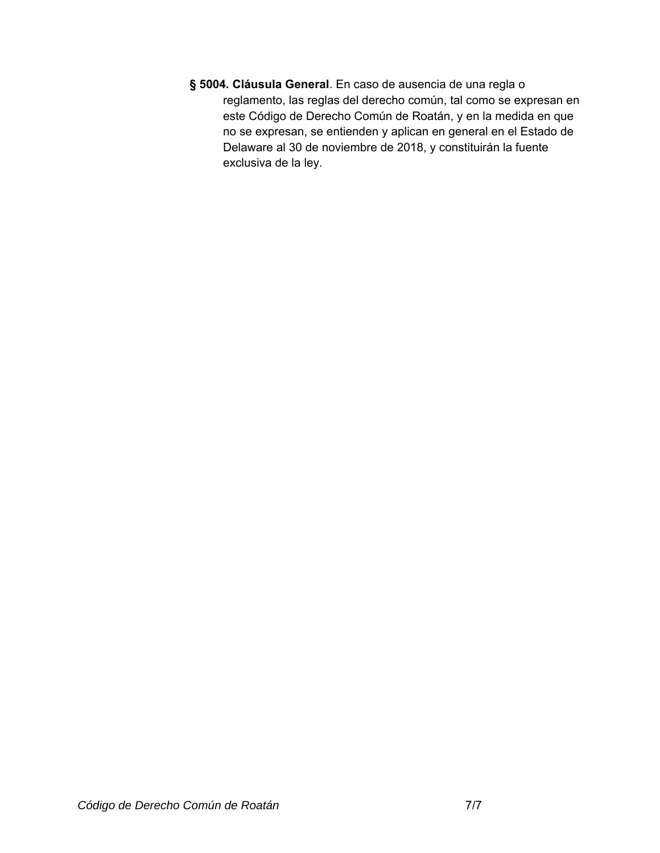**§ 5004. Cláusula General**. En caso de ausencia de una regla o reglamento, las reglas del derecho común, tal como se expresan en este Código de Derecho Común de Roatán, y en la medida en que no se expresan, se entienden y aplican en general en el Estado de Delaware al 30 de noviembre de 2018, y constituirán la fuente exclusiva de la ley.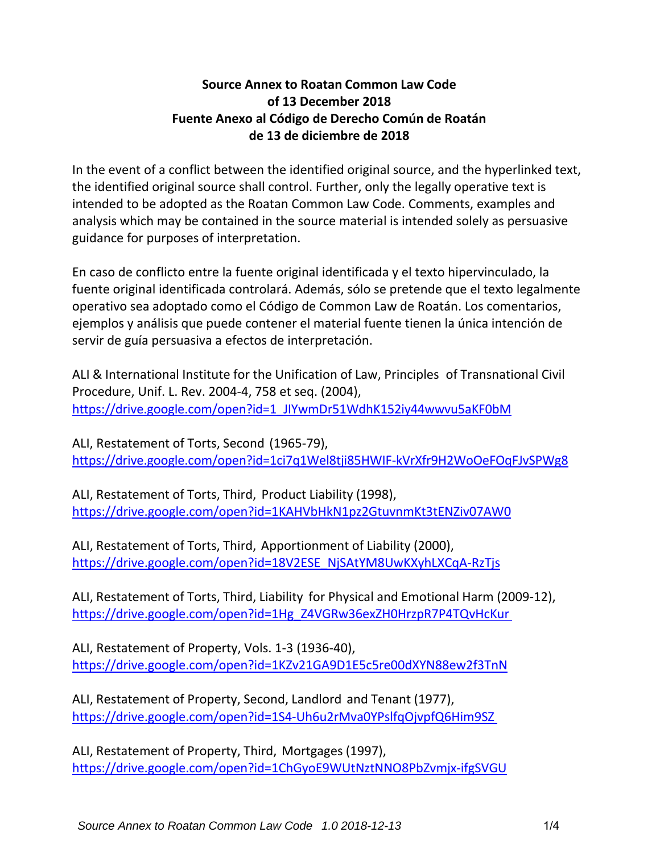## **Source Annex to Roatan Common Law Code of 13 December 2018 Fuente Anexo al Código de Derecho Común de Roatán de 13 de diciembre de 2018**

In the event of a conflict between the identified original source, and the hyperlinked text, the identified original source shall control. Further, only the legally operative text is intended to be adopted as the Roatan Common Law Code. Comments, examples and analysis which may be contained in the source material is intended solely as persuasive guidance for purposes of interpretation.

En caso de conflicto entre la fuente original identificada y el texto hipervinculado, la fuente original identificada controlará. Además, sólo se pretende que el texto legalmente operativo sea adoptado como el Código de Common Law de Roatán. Los comentarios, ejemplos y análisis que puede contener el material fuente tienen la única intención de servir de guía persuasiva a efectos de interpretación.

ALI & International Institute for the Unification of Law, Principles of Transnational Civil Procedure, Unif. L. Rev. 2004‐4, 758 et seq. (2004), https://drive.google.com/open?id=1\_JIYwmDr51WdhK152iy44wwvu5aKF0bM

ALI, Restatement of Torts, Second (1965‐79), https://drive.google.com/open?id=1ci7q1Wel8tji85HWIF‐kVrXfr9H2WoOeFOqFJvSPWg8

ALI, Restatement of Torts, Third, Product Liability (1998), https://drive.google.com/open?id=1KAHVbHkN1pz2GtuvnmKt3tENZiv07AW0

ALI, Restatement of Torts, Third, Apportionment of Liability (2000), https://drive.google.com/open?id=18V2ESE\_NjSAtYM8UwKXyhLXCqA‐RzTjs

ALI, Restatement of Torts, Third, Liability for Physical and Emotional Harm (2009‐12), https://drive.google.com/open?id=1Hg\_Z4VGRw36exZH0HrzpR7P4TQvHcKur

ALI, Restatement of Property, Vols. 1-3 (1936‐40), https://drive.google.com/open?id=1KZv21GA9D1E5c5re00dXYN88ew2f3TnN

ALI, Restatement of Property, Second, Landlord and Tenant (1977), https://drive.google.com/open?id=1S4‐Uh6u2rMva0YPslfqOjvpfQ6Him9SZ

ALI, Restatement of Property, Third, Mortgages (1997), https://drive.google.com/open?id=1ChGyoE9WUtNztNNO8PbZvmjx‐ifgSVGU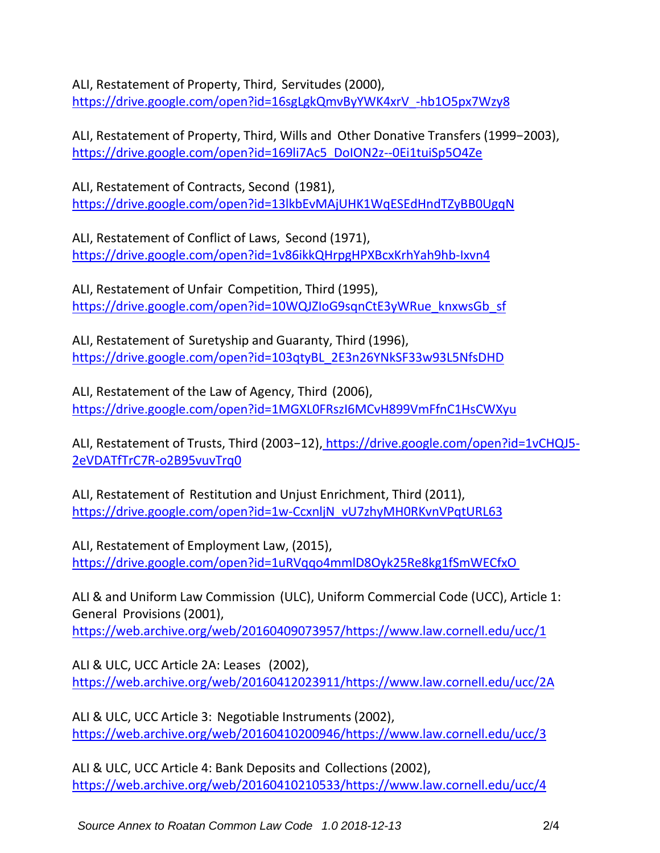ALI, Restatement of Property, Third, Servitudes (2000), https://drive.google.com/open?id=16sgLgkQmvByYWK4xrV\_‐hb1O5px7Wzy8

ALI, Restatement of Property, Third, Wills and Other Donative Transfers (1999−2003), https://drive.google.com/open?id=169li7Ac5\_DoION2z--0Ei1tuiSp5O4Ze

ALI, Restatement of Contracts, Second (1981), https://drive.google.com/open?id=13lkbEvMAjUHK1WqESEdHndTZyBB0UgqN

ALI, Restatement of Conflict of Laws, Second (1971), https://drive.google.com/open?id=1v86ikkQHrpgHPXBcxKrhYah9hb‐Ixvn4

ALI, Restatement of Unfair Competition, Third (1995), https://drive.google.com/open?id=10WQJZIoG9sqnCtE3yWRue\_knxwsGb\_sf

ALI, Restatement of Suretyship and Guaranty, Third (1996), https://drive.google.com/open?id=103qtyBL\_2E3n26YNkSF33w93L5NfsDHD

ALI, Restatement of the Law of Agency, Third (2006), https://drive.google.com/open?id=1MGXL0FRszI6MCvH899VmFfnC1HsCWXyu

ALI, Restatement of Trusts, Third (2003-12), https://drive.google.com/open?id=1vCHQJ5-2eVDATfTrC7R‐o2B95vuvTrq0

ALI, Restatement of Restitution and Unjust Enrichment, Third (2011), https://drive.google.com/open?id=1w-CcxnljN\_vU7zhyMH0RKvnVPqtURL63

ALI, Restatement of Employment Law, (2015), https://drive.google.com/open?id=1uRVqqo4mmlD8Oyk25Re8kg1fSmWECfxO

ALI & and Uniform Law Commission (ULC), Uniform Commercial Code (UCC), Article 1: General Provisions (2001),

https://web.archive.org/web/20160409073957/https://www.law.cornell.edu/ucc/1

ALI & ULC, UCC Article 2A: Leases (2002), https://web.archive.org/web/20160412023911/https://www.law.cornell.edu/ucc/2A

ALI & ULC, UCC Article 3: Negotiable Instruments (2002), https://web.archive.org/web/20160410200946/https://www.law.cornell.edu/ucc/3

ALI & ULC, UCC Article 4: Bank Deposits and Collections (2002), https://web.archive.org/web/20160410210533/https://www.law.cornell.edu/ucc/4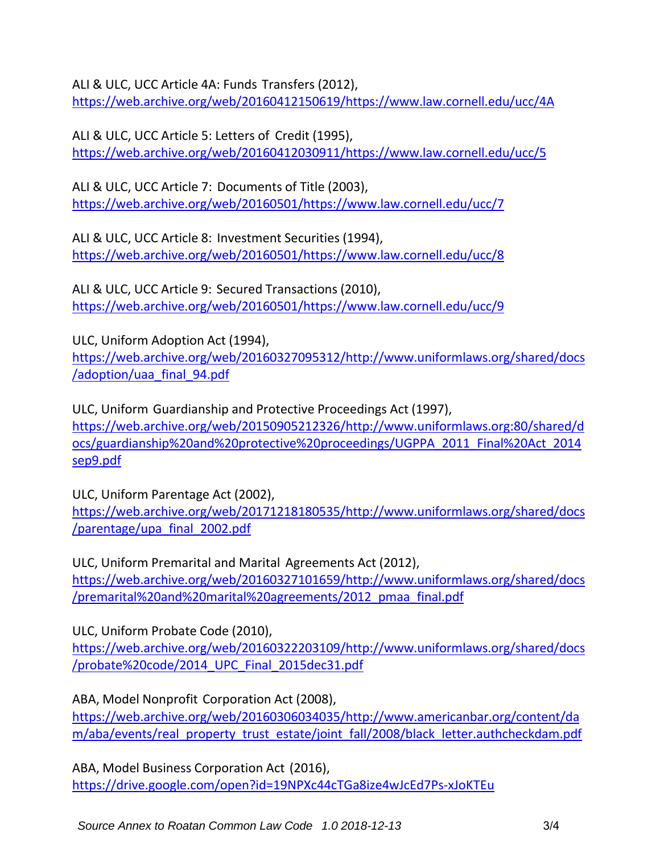ALI & ULC, UCC Article 4A: Funds Transfers (2012),

https://web.archive.org/web/20160412150619/https://www.law.cornell.edu/ucc/4A

ALI & ULC, UCC Article 5: Letters of Credit (1995), https://web.archive.org/web/20160412030911/https://www.law.cornell.edu/ucc/5

ALI & ULC, UCC Article 7: Documents of Title (2003), https://web.archive.org/web/20160501/https://www.law.cornell.edu/ucc/7

ALI & ULC, UCC Article 8: Investment Securities (1994), https://web.archive.org/web/20160501/https://www.law.cornell.edu/ucc/8

ALI & ULC, UCC Article 9: Secured Transactions (2010), https://web.archive.org/web/20160501/https://www.law.cornell.edu/ucc/9

ULC, Uniform Adoption Act (1994), https://web.archive.org/web/20160327095312/http://www.uniformlaws.org/shared/docs /adoption/uaa\_final\_94.pdf

ULC, Uniform Guardianship and Protective Proceedings Act (1997), https://web.archive.org/web/20150905212326/http://www.uniformlaws.org:80/shared/d ocs/guardianship%20and%20protective%20proceedings/UGPPA\_2011\_Final%20Act\_2014 sep9.pdf

ULC, Uniform Parentage Act (2002), https://web.archive.org/web/20171218180535/http://www.uniformlaws.org/shared/docs /parentage/upa\_final\_2002.pdf

ULC, Uniform Premarital and Marital Agreements Act (2012), https://web.archive.org/web/20160327101659/http://www.uniformlaws.org/shared/docs /premarital%20and%20marital%20agreements/2012\_pmaa\_final.pdf

ULC, Uniform Probate Code (2010),

https://web.archive.org/web/20160322203109/http://www.uniformlaws.org/shared/docs /probate%20code/2014\_UPC\_Final\_2015dec31.pdf

ABA, Model Nonprofit Corporation Act (2008), https://web.archive.org/web/20160306034035/http://www.americanbar.org/content/da m/aba/events/real\_property\_trust\_estate/joint\_fall/2008/black\_letter.authcheckdam.pdf

ABA, Model Business Corporation Act (2016), https://drive.google.com/open?id=19NPXc44cTGa8ize4wJcEd7Ps‐xJoKTEu

*Source Annex to Roatan Common Law Code 1.0 2018-12-13* 3/4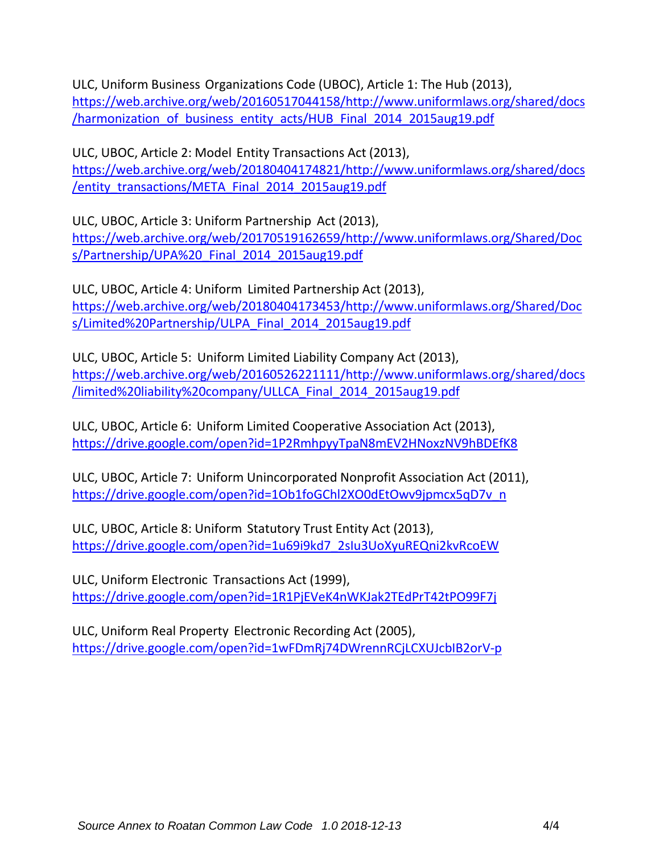ULC, Uniform Business Organizations Code (UBOC), Article 1: The Hub (2013), https://web.archive.org/web/20160517044158/http://www.uniformlaws.org/shared/docs /harmonization of business entity acts/HUB Final 2014 2015aug19.pdf

ULC, UBOC, Article 2: Model Entity Transactions Act (2013), https://web.archive.org/web/20180404174821/http://www.uniformlaws.org/shared/docs /entity\_transactions/META\_Final\_2014\_2015aug19.pdf

ULC, UBOC, Article 3: Uniform Partnership Act (2013), https://web.archive.org/web/20170519162659/http://www.uniformlaws.org/Shared/Doc s/Partnership/UPA%20 Final 2014 2015aug19.pdf

ULC, UBOC, Article 4: Uniform Limited Partnership Act (2013), https://web.archive.org/web/20180404173453/http://www.uniformlaws.org/Shared/Doc s/Limited%20Partnership/ULPA\_Final\_2014\_2015aug19.pdf

ULC, UBOC, Article 5: Uniform Limited Liability Company Act (2013), https://web.archive.org/web/20160526221111/http://www.uniformlaws.org/shared/docs /limited%20liability%20company/ULLCA\_Final\_2014\_2015aug19.pdf

ULC, UBOC, Article 6: Uniform Limited Cooperative Association Act (2013), https://drive.google.com/open?id=1P2RmhpyyTpaN8mEV2HNoxzNV9hBDEfK8

ULC, UBOC, Article 7: Uniform Unincorporated Nonprofit Association Act (2011), https://drive.google.com/open?id=1Ob1foGChl2XO0dEtOwv9jpmcx5qD7v\_n

ULC, UBOC, Article 8: Uniform Statutory Trust Entity Act (2013), https://drive.google.com/open?id=1u69i9kd7\_2sIu3UoXyuREQni2kvRcoEW

ULC, Uniform Electronic Transactions Act (1999), https://drive.google.com/open?id=1R1PjEVeK4nWKJak2TEdPrT42tPO99F7j

ULC, Uniform Real Property Electronic Recording Act (2005), https://drive.google.com/open?id=1wFDmRj74DWrennRCjLCXUJcbIB2orV‐p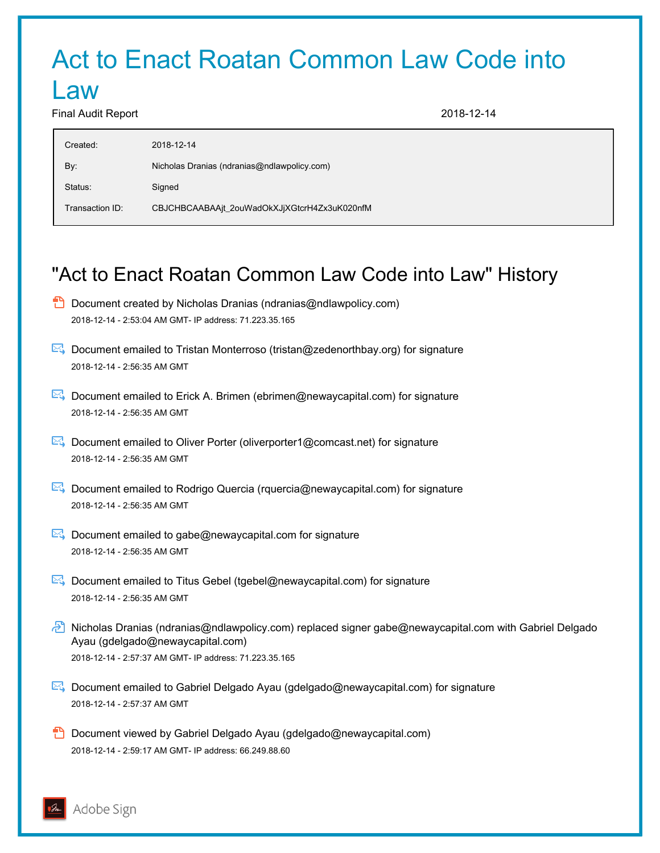# Act to Enact Roatan Common Law Code into

## Law

Final Audit Report 2018-12-14

| Created:        | 2018-12-14                                   |
|-----------------|----------------------------------------------|
| By:             | Nicholas Dranias (ndranias@ndlawpolicy.com)  |
| Status:         | Signed                                       |
| Transaction ID: | CBJCHBCAABAAjt_2ouWadOkXJjXGtcrH4Zx3uK020nfM |

## "Act to Enact Roatan Common Law Code into Law" History

- $\Box$  Document created by Nicholas Dranias (ndranias@ndlawpolicy.com) 2018-12-14 - 2:53:04 AM GMT- IP address: 71.223.35.165
- Document emailed to Tristan Monterroso (tristan@zedenorthbay.org) for signature 2018-12-14 - 2:56:35 AM GMT
- Document emailed to Erick A. Brimen (ebrimen@newaycapital.com) for signature 2018-12-14 - 2:56:35 AM GMT
- Document emailed to Oliver Porter (oliverporter1@comcast.net) for signature 2018-12-14 - 2:56:35 AM GMT
- Document emailed to Rodrigo Quercia (rquercia@newaycapital.com) for signature 2018-12-14 - 2:56:35 AM GMT
- $\boxtimes$  Document emailed to gabe@newaycapital.com for signature 2018-12-14 - 2:56:35 AM GMT
- $\mathbb{E}_{\mathbb{R}}$  Document emailed to Titus Gebel (tgebel@newaycapital.com) for signature 2018-12-14 - 2:56:35 AM GMT
- Nicholas Dranias (ndranias@ndlawpolicy.com) replaced signer gabe@newaycapital.com with Gabriel Delgado Ayau (gdelgado@newaycapital.com) 2018-12-14 - 2:57:37 AM GMT- IP address: 71.223.35.165
- Document emailed to Gabriel Delgado Ayau (gdelgado@newaycapital.com) for signature 2018-12-14 - 2:57:37 AM GMT
- **D** Document viewed by Gabriel Delgado Ayau (gdelgado@newaycapital.com) 2018-12-14 - 2:59:17 AM GMT- IP address: 66.249.88.60